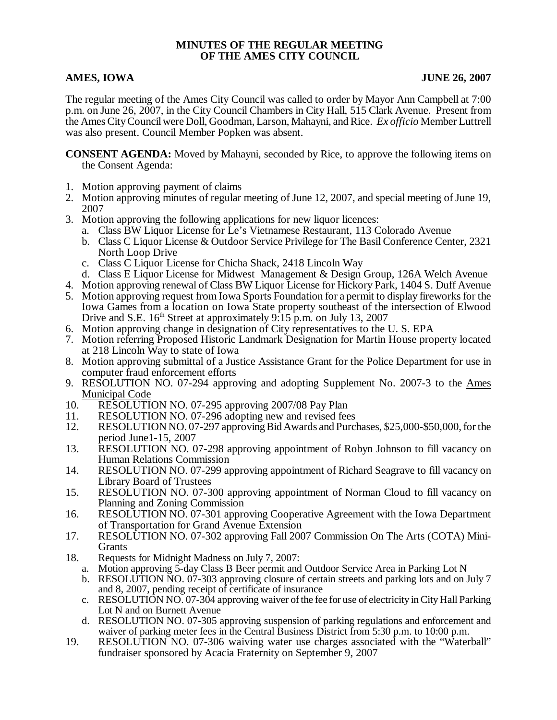## **MINUTES OF THE REGULAR MEETING OF THE AMES CITY COUNCIL**

# **AMES, IOWA** JUNE 26, 2007

The regular meeting of the Ames City Council was called to order by Mayor Ann Campbell at 7:00 p.m. on June 26, 2007, in the City Council Chambers in City Hall, 515 Clark Avenue. Present from the Ames City Council were Doll, Goodman, Larson, Mahayni, and Rice. *Ex officio* Member Luttrell was also present. Council Member Popken was absent.

**CONSENT AGENDA:** Moved by Mahayni, seconded by Rice, to approve the following items on the Consent Agenda:

- 1. Motion approving payment of claims
- 2. Motion approving minutes of regular meeting of June 12, 2007, and special meeting of June 19, 2007
- 3. Motion approving the following applications for new liquor licences:
	- a. Class BW Liquor License for Le's Vietnamese Restaurant, 113 Colorado Avenue
	- b. Class C Liquor License & Outdoor Service Privilege for The Basil Conference Center, 2321 North Loop Drive
	- c. Class C Liquor License for Chicha Shack, 2418 Lincoln Way
	- d. Class E Liquor License for Midwest Management & Design Group, 126A Welch Avenue
- 4. Motion approving renewal of Class BW Liquor License for Hickory Park, 1404 S. Duff Avenue
- 5. Motion approving request from Iowa Sports Foundation for a permit to display fireworks for the Iowa Games from a location on Iowa State property southeast of the intersection of Elwood Drive and S.E.  $16<sup>th</sup>$  Street at approximately 9:15 p.m. on July 13, 2007
- 6. Motion approving change in designation of City representatives to the U. S. EPA
- 7. Motion referring Proposed Historic Landmark Designation for Martin House property located at 218 Lincoln Way to state of Iowa
- 8. Motion approving submittal of a Justice Assistance Grant for the Police Department for use in computer fraud enforcement efforts
- 9. RESOLUTION NO. 07-294 approving and adopting Supplement No. 2007-3 to the Ames Municipal Code
- 10. RESOLUTION NO. 07-295 approving 2007/08 Pay Plan
- 11. RESOLUTION NO. 07-296 adopting new and revised fees<br>12. RESOLUTION NO. 07-297 approving Bid Awards and Purcl
- 12. RESOLUTION NO. 07-297 approving Bid Awards and Purchases, \$25,000-\$50,000, for the period June1-15, 2007
- 13. RESOLUTION NO. 07-298 approving appointment of Robyn Johnson to fill vacancy on Human Relations Commission
- 14. RESOLUTION NO. 07-299 approving appointment of Richard Seagrave to fill vacancy on Library Board of Trustees
- 15. RESOLUTION NO. 07-300 approving appointment of Norman Cloud to fill vacancy on Planning and Zoning Commission
- 16. RESOLUTION NO. 07-301 approving Cooperative Agreement with the Iowa Department of Transportation for Grand Avenue Extension
- 17. RESOLUTION NO. 07-302 approving Fall 2007 Commission On The Arts (COTA) Mini-**Grants**
- 18. Requests for Midnight Madness on July 7, 2007:
	- a. Motion approving 5-day Class B Beer permit and Outdoor Service Area in Parking Lot N
	- b. RESOLUTION NO. 07-303 approving closure of certain streets and parking lots and on July 7 and 8, 2007, pending receipt of certificate of insurance
	- c. RESOLUTION NO. 07-304 approving waiver of the fee for use of electricity in City Hall Parking Lot N and on Burnett Avenue
	- d. RESOLUTION NO. 07-305 approving suspension of parking regulations and enforcement and waiver of parking meter fees in the Central Business District from 5:30 p.m. to 10:00 p.m.
- 19. RESOLUTION NO. 07-306 waiving water use charges associated with the "Waterball" fundraiser sponsored by Acacia Fraternity on September 9, 2007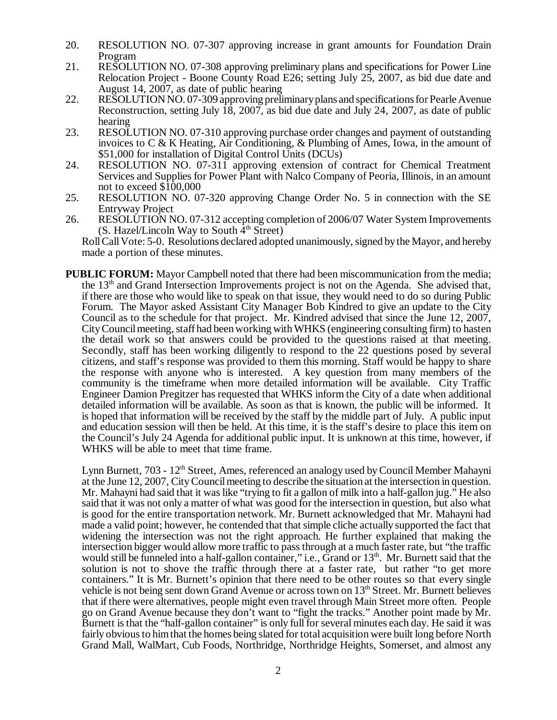- 20. RESOLUTION NO. 07-307 approving increase in grant amounts for Foundation Drain Program
- 21. RESOLUTION NO. 07-308 approving preliminary plans and specifications for Power Line Relocation Project - Boone County Road E26; setting July 25, 2007, as bid due date and August 14, 2007, as date of public hearing
- 22. RESOLUTION NO. 07-309 approving preliminary plans and specifications for Pearle Avenue Reconstruction, setting July  $\hat{18}$ , 2007, as bid due date and July 24, 2007, as date of public hearing
- 23. RESOLUTION NO. 07-310 approving purchase order changes and payment of outstanding invoices to C & K Heating, Air Conditioning, & Plumbing of Ames, Iowa, in the amount of \$51,000 for installation of Digital Control Units (DCUs)
- 24. RESOLUTION NO. 07-311 approving extension of contract for Chemical Treatment Services and Supplies for Power Plant with Nalco Company of Peoria, Illinois, in an amount not to exceed \$100,000
- 25. RESOLUTION NO. 07-320 approving Change Order No. 5 in connection with the SE Entryway Project
- 26. RESOLUTION NO. 07-312 accepting completion of 2006/07 Water System Improvements (S. Hazel/Lincoln Way to South  $4<sup>th</sup>$  Street)

Roll Call Vote: 5-0. Resolutions declared adopted unanimously, signed by the Mayor, and hereby made a portion of these minutes.

**PUBLIC FORUM:** Mayor Campbell noted that there had been miscommunication from the media; the 13<sup>th</sup> and Grand Intersection Improvements project is not on the Agenda. She advised that, if there are those who would like to speak on that issue, they would need to do so during Public Forum. The Mayor asked Assistant City Manager Bob Kindred to give an update to the City Council as to the schedule for that project. Mr. Kindred advised that since the June 12, 2007, City Council meeting, staff had been working with WHKS (engineering consulting firm) to hasten the detail work so that answers could be provided to the questions raised at that meeting. Secondly, staff has been working diligently to respond to the 22 questions posed by several citizens, and staff's response was provided to them this morning. Staff would be happy to share the response with anyone who is interested. A key question from many members of the community is the timeframe when more detailed information will be available. City Traffic Engineer Damion Pregitzer has requested that WHKS inform the City of a date when additional detailed information will be available. As soon as that is known, the public will be informed. It is hoped that information will be received by the staff by the middle part of July. A public input and education session will then be held. At this time, it is the staff's desire to place this item on the Council's July 24 Agenda for additional public input. It is unknown at this time, however, if WHKS will be able to meet that time frame.

Lynn Burnett,  $703 - 12<sup>th</sup>$  Street, Ames, referenced an analogy used by Council Member Mahayni at the June 12, 2007, City Council meeting to describe the situation at the intersection in question. Mr. Mahayni had said that it was like "trying to fit a gallon of milk into a half-gallon jug." He also said that it was not only a matter of what was good for the intersection in question, but also what is good for the entire transportation network. Mr. Burnett acknowledged that Mr. Mahayni had made a valid point; however, he contended that that simple cliche actually supported the fact that widening the intersection was not the right approach. He further explained that making the intersection bigger would allow more traffic to pass through at a much faster rate, but "the traffic would still be funneled into a half-gallon container," i.e.,  $\tilde{G}$ rand or  $13<sup>th</sup>$ . Mr. Burnett said that the solution is not to shove the traffic through there at a faster rate, but rather "to get more containers." It is Mr. Burnett's opinion that there need to be other routes so that every single vehicle is not being sent down Grand Avenue or across town on  $13<sup>th</sup>$  Street. Mr. Burnett believes that if there were alternatives, people might even travel through Main Street more often. People go on Grand Avenue because they don't want to "fight the tracks." Another point made by Mr. Burnett is that the "half-gallon container" is only full for several minutes each day. He said it was fairly obvious to him that the homes being slated for total acquisition were built long before North Grand Mall, WalMart, Cub Foods, Northridge, Northridge Heights, Somerset, and almost any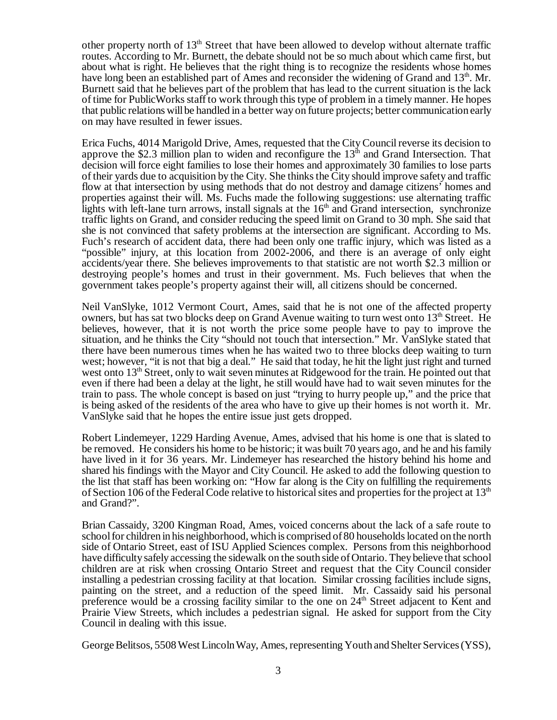other property north of 13<sup>th</sup> Street that have been allowed to develop without alternate traffic routes. According to Mr. Burnett, the debate should not be so much about which came first, but about what is right. He believes that the right thing is to recognize the residents whose homes have long been an established part of Ames and reconsider the widening of Grand and  $13<sup>th</sup>$ . Mr. Burnett said that he believes part of the problem that has lead to the current situation is the lack of time for PublicWorks staff to work through this type of problem in a timely manner. He hopes that public relations will be handled in a better way on future projects; better communication early on may have resulted in fewer issues.

Erica Fuchs, 4014 Marigold Drive, Ames, requested that the City Council reverse its decision to approve the \$2.3 million plan to widen and reconfigure the  $13<sup>th</sup>$  and Grand Intersection. That decision will force eight families to lose their homes and approximately 30 families to lose parts of their yards due to acquisition by the City. She thinks the City should improve safety and traffic flow at that intersection by using methods that do not destroy and damage citizens' homes and properties against their will. Ms. Fuchs made the following suggestions: use alternating traffic lights with left-lane turn arrows, install signals at the  $16<sup>th</sup>$  and Grand intersection, synchronize traffic lights on Grand, and consider reducing the speed limit on Grand to 30 mph. She said that she is not convinced that safety problems at the intersection are significant. According to Ms. Fuch's research of accident data, there had been only one traffic injury, which was listed as a "possible" injury, at this location from 2002-2006, and there is an average of only eight accidents/year there. She believes improvements to that statistic are not worth \$2.3 million or destroying people's homes and trust in their government. Ms. Fuch believes that when the government takes people's property against their will, all citizens should be concerned.

Neil VanSlyke, 1012 Vermont Court, Ames, said that he is not one of the affected property owners, but has sat two blocks deep on Grand Avenue waiting to turn west onto  $13<sup>th</sup>$  Street. He believes, however, that it is not worth the price some people have to pay to improve the situation, and he thinks the City "should not touch that intersection." Mr. VanSlyke stated that there have been numerous times when he has waited two to three blocks deep waiting to turn west; however, "it is not that big a deal." He said that today, he hit the light just right and turned west onto 13<sup>th</sup> Street, only to wait seven minutes at Ridgewood for the train. He pointed out that even if there had been a delay at the light, he still would have had to wait seven minutes for the train to pass. The whole concept is based on just "trying to hurry people up," and the price that is being asked of the residents of the area who have to give up their homes is not worth it. Mr. VanSlyke said that he hopes the entire issue just gets dropped.

Robert Lindemeyer, 1229 Harding Avenue, Ames, advised that his home is one that is slated to be removed. He considers his home to be historic; it was built 70 years ago, and he and his family have lived in it for 36 years. Mr. Lindemeyer has researched the history behind his home and shared his findings with the Mayor and City Council. He asked to add the following question to the list that staff has been working on: "How far along is the City on fulfilling the requirements of Section 106 of the Federal Code relative to historical sites and properties for the project at  $13<sup>th</sup>$ and Grand?".

Brian Cassaidy, 3200 Kingman Road, Ames, voiced concerns about the lack of a safe route to school for children in his neighborhood, which is comprised of 80 households located on the north side of Ontario Street, east of ISU Applied Sciences complex. Persons from this neighborhood have difficulty safely accessing the sidewalk on the south side of Ontario. They believe that school children are at risk when crossing Ontario Street and request that the City Council consider installing a pedestrian crossing facility at that location. Similar crossing facilities include signs, painting on the street, and a reduction of the speed limit. Mr. Cassaidy said his personal preference would be a crossing facility similar to the one on  $24<sup>th</sup>$  Street adjacent to Kent and Prairie View Streets, which includes a pedestrian signal. He asked for support from the City Council in dealing with this issue.

George Belitsos, 5508 West Lincoln Way, Ames, representing Youth and Shelter Services (YSS),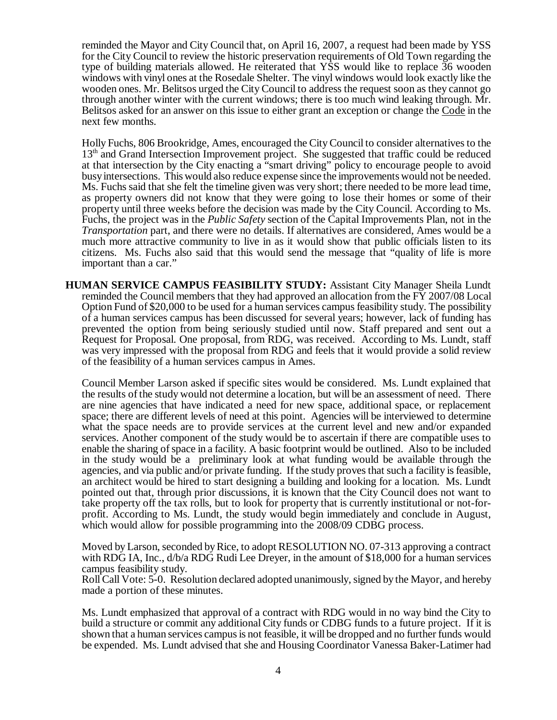reminded the Mayor and City Council that, on April 16, 2007, a request had been made by YSS for the City Council to review the historic preservation requirements of Old Town regarding the type of building materials allowed. He reiterated that YSS would like to replace 36 wooden windows with vinyl ones at the Rosedale Shelter. The vinyl windows would look exactly like the wooden ones. Mr. Belitsos urged the City Council to address the request soon as they cannot go through another winter with the current windows; there is too much wind leaking through. Mr. Belitsos asked for an answer on this issue to either grant an exception or change the Code in the next few months.

Holly Fuchs, 806 Brookridge, Ames, encouraged the City Council to consider alternatives to the 13<sup>th</sup> and Grand Intersection Improvement project. She suggested that traffic could be reduced at that intersection by the City enacting a "smart driving" policy to encourage people to avoid busy intersections. This would also reduce expense since the improvements would not be needed. Ms. Fuchs said that she felt the timeline given was very short; there needed to be more lead time, as property owners did not know that they were going to lose their homes or some of their property until three weeks before the decision was made by the City Council. According to Ms. Fuchs, the project was in the *Public Safety* section of the Capital Improvements Plan, not in the *Transportation* part, and there were no details. If alternatives are considered, Ames would be a much more attractive community to live in as it would show that public officials listen to its citizens. Ms. Fuchs also said that this would send the message that "quality of life is more important than a car."

**HUMAN SERVICE CAMPUS FEASIBILITY STUDY:** Assistant City Manager Sheila Lundt reminded the Council members that they had approved an allocation from the FY 2007/08 Local Option Fund of \$20,000 to be used for a human services campus feasibility study. The possibility of a human services campus has been discussed for several years; however, lack of funding has prevented the option from being seriously studied until now. Staff prepared and sent out a Request for Proposal. One proposal, from RDG, was received. According to Ms. Lundt, staff was very impressed with the proposal from RDG and feels that it would provide a solid review of the feasibility of a human services campus in Ames.

Council Member Larson asked if specific sites would be considered. Ms. Lundt explained that the results of the study would not determine a location, but will be an assessment of need. There are nine agencies that have indicated a need for new space, additional space, or replacement space; there are different levels of need at this point. Agencies will be interviewed to determine what the space needs are to provide services at the current level and new and/or expanded services. Another component of the study would be to ascertain if there are compatible uses to enable the sharing of space in a facility. A basic footprint would be outlined. Also to be included in the study would be a preliminary look at what funding would be available through the agencies, and via public and/or private funding. If the study proves that such a facility is feasible, an architect would be hired to start designing a building and looking for a location. Ms. Lundt pointed out that, through prior discussions, it is known that the City Council does not want to take property off the tax rolls, but to look for property that is currently institutional or not-forprofit. According to Ms. Lundt, the study would begin immediately and conclude in August, which would allow for possible programming into the 2008/09 CDBG process.

Moved by Larson, seconded by Rice, to adopt RESOLUTION NO. 07-313 approving a contract with RDG IA, Inc.,  $d/b/a$  RDG Rudi Lee Dreyer, in the amount of \$18,000 for a human services campus feasibility study.

Roll Call Vote: 5-0. Resolution declared adopted unanimously, signed by the Mayor, and hereby made a portion of these minutes.

Ms. Lundt emphasized that approval of a contract with RDG would in no way bind the City to build a structure or commit any additional City funds or CDBG funds to a future project. If it is shown that a human services campus is not feasible, it will be dropped and no further funds would be expended. Ms. Lundt advised that she and Housing Coordinator Vanessa Baker-Latimer had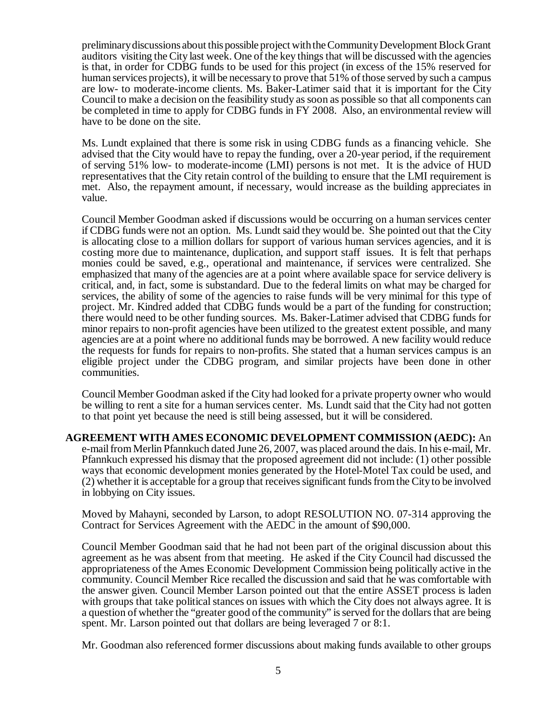preliminary discussions about this possible project with the Community Development Block Grant auditors visiting the City last week. One of the key things that will be discussed with the agencies is that, in order for CDBG funds to be used for this project (in excess of the 15% reserved for human services projects), it will be necessary to prove that 51% of those served by such a campus are low- to moderate-income clients. Ms. Baker-Latimer said that it is important for the City Council to make a decision on the feasibility study as soon as possible so that all components can be completed in time to apply for CDBG funds in FY 2008. Also, an environmental review will have to be done on the site.

Ms. Lundt explained that there is some risk in using CDBG funds as a financing vehicle. She advised that the City would have to repay the funding, over a 20-year period, if the requirement of serving 51% low- to moderate-income (LMI) persons is not met. It is the advice of HUD representatives that the City retain control of the building to ensure that the LMI requirement is met. Also, the repayment amount, if necessary, would increase as the building appreciates in value.

Council Member Goodman asked if discussions would be occurring on a human services center if CDBG funds were not an option. Ms. Lundt said they would be. She pointed out that the City is allocating close to a million dollars for support of various human services agencies, and it is costing more due to maintenance, duplication, and support staff issues. It is felt that perhaps monies could be saved, e.g., operational and maintenance, if services were centralized. She emphasized that many of the agencies are at a point where available space for service delivery is critical, and, in fact, some is substandard. Due to the federal limits on what may be charged for services, the ability of some of the agencies to raise funds will be very minimal for this type of project. Mr. Kindred added that CDBG funds would be a part of the funding for construction; there would need to be other funding sources. Ms. Baker-Latimer advised that CDBG funds for minor repairs to non-profit agencies have been utilized to the greatest extent possible, and many agencies are at a point where no additional funds may be borrowed. A new facility would reduce the requests for funds for repairs to non-profits. She stated that a human services campus is an eligible project under the CDBG program, and similar projects have been done in other communities.

Council Member Goodman asked if the City had looked for a private property owner who would be willing to rent a site for a human services center. Ms. Lundt said that the City had not gotten to that point yet because the need is still being assessed, but it will be considered.

**AGREEMENT WITH AMES ECONOMIC DEVELOPMENT COMMISSION (AEDC):** An e-mail from Merlin Pfannkuch dated June 26, 2007, was placed around the dais. In his e-mail, Mr. Pfannkuch expressed his dismay that the proposed agreement did not include: (1) other possible ways that economic development monies generated by the Hotel-Motel Tax could be used, and (2) whether it is acceptable for a group that receives significant funds from the City to be involved in lobbying on City issues.

Moved by Mahayni, seconded by Larson, to adopt RESOLUTION NO. 07-314 approving the Contract for Services Agreement with the AEDC in the amount of \$90,000.

Council Member Goodman said that he had not been part of the original discussion about this agreement as he was absent from that meeting. He asked if the City Council had discussed the appropriateness of the Ames Economic Development Commission being politically active in the community. Council Member Rice recalled the discussion and said that he was comfortable with the answer given. Council Member Larson pointed out that the entire ASSET process is laden with groups that take political stances on issues with which the City does not always agree. It is a question of whether the "greater good of the community" is served for the dollars that are being spent. Mr. Larson pointed out that dollars are being leveraged 7 or 8:1.

Mr. Goodman also referenced former discussions about making funds available to other groups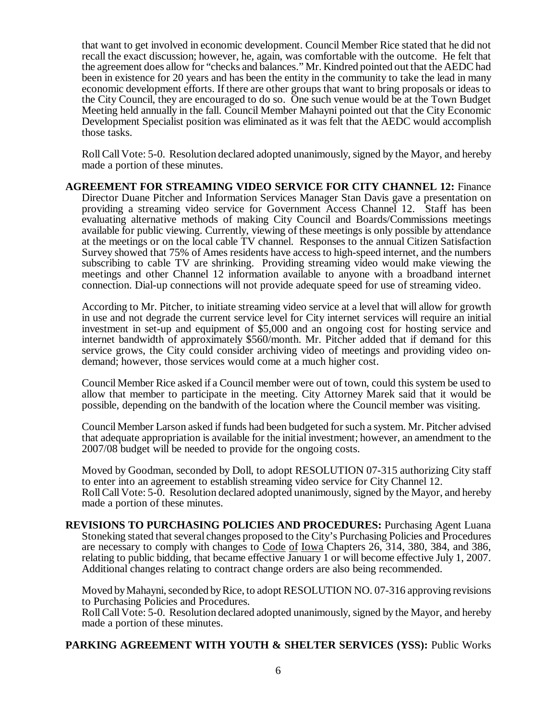that want to get involved in economic development. Council Member Rice stated that he did not recall the exact discussion; however, he, again, was comfortable with the outcome. He felt that the agreement does allow for "checks and balances." Mr. Kindred pointed out that the AEDC had been in existence for 20 years and has been the entity in the community to take the lead in many economic development efforts. If there are other groups that want to bring proposals or ideas to the City Council, they are encouraged to do so. One such venue would be at the Town Budget Meeting held annually in the fall. Council Member Mahayni pointed out that the City Economic Development Specialist position was eliminated as it was felt that the AEDC would accomplish those tasks.

Roll Call Vote: 5-0. Resolution declared adopted unanimously, signed by the Mayor, and hereby made a portion of these minutes.

**AGREEMENT FOR STREAMING VIDEO SERVICE FOR CITY CHANNEL 12:** Finance Director Duane Pitcher and Information Services Manager Stan Davis gave a presentation on providing a streaming video service for Government Access Channel 12. Staff has been evaluating alternative methods of making City Council and Boards/Commissions meetings available for public viewing. Currently, viewing of these meetings is only possible by attendance at the meetings or on the local cable TV channel. Responses to the annual Citizen Satisfaction Survey showed that 75% of Ames residents have access to high-speed internet, and the numbers subscribing to cable TV are shrinking. Providing streaming video would make viewing the meetings and other Channel 12 information available to anyone with a broadband internet connection. Dial-up connections will not provide adequate speed for use of streaming video.

According to Mr. Pitcher, to initiate streaming video service at a level that will allow for growth in use and not degrade the current service level for City internet services will require an initial investment in set-up and equipment of \$5,000 and an ongoing cost for hosting service and internet bandwidth of approximately \$560/month. Mr. Pitcher added that if demand for this service grows, the City could consider archiving video of meetings and providing video ondemand; however, those services would come at a much higher cost.

Council Member Rice asked if a Council member were out of town, could this system be used to allow that member to participate in the meeting. City Attorney Marek said that it would be possible, depending on the bandwith of the location where the Council member was visiting.

Council Member Larson asked if funds had been budgeted for such a system. Mr. Pitcher advised that adequate appropriation is available for the initial investment; however, an amendment to the 2007/08 budget will be needed to provide for the ongoing costs.

Moved by Goodman, seconded by Doll, to adopt RESOLUTION 07-315 authorizing City staff to enter into an agreement to establish streaming video service for City Channel 12. Roll Call Vote: 5-0. Resolution declared adopted unanimously, signed by the Mayor, and hereby made a portion of these minutes.

**REVISIONS TO PURCHASING POLICIES AND PROCEDURES:** Purchasing Agent Luana Stoneking stated that several changes proposed to the City's Purchasing Policies and Procedures are necessary to comply with changes to Code of Iowa Chapters 26, 314, 380, 384, and 386, relating to public bidding, that became effective January 1 or will become effective July 1, 2007. Additional changes relating to contract change orders are also being recommended.

Moved by Mahayni, seconded by Rice, to adopt RESOLUTION NO. 07-316 approving revisions to Purchasing Policies and Procedures.

Roll Call Vote: 5-0. Resolution declared adopted unanimously, signed by the Mayor, and hereby made a portion of these minutes.

# **PARKING AGREEMENT WITH YOUTH & SHELTER SERVICES (YSS):** Public Works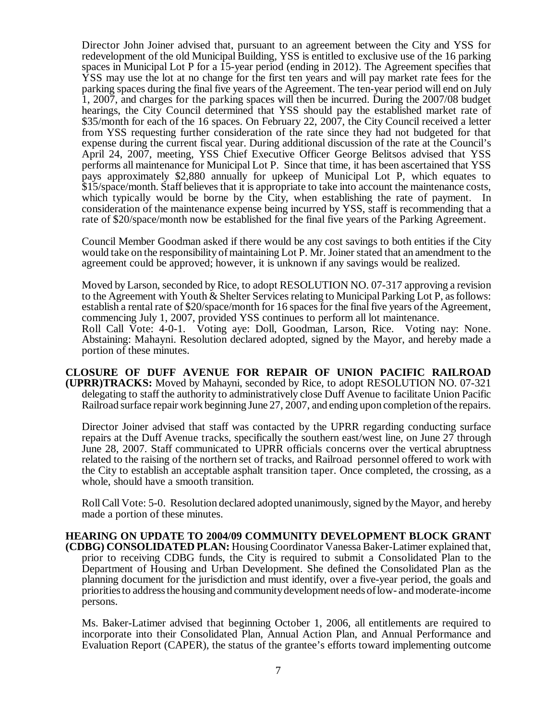Director John Joiner advised that, pursuant to an agreement between the City and YSS for redevelopment of the old Municipal Building, YSS is entitled to exclusive use of the 16 parking spaces in Municipal Lot P for a 15-year period (ending in 2012). The Agreement specifies that YSS may use the lot at no change for the first ten years and will pay market rate fees for the parking spaces during the final five years of the Agreement. The ten-year period will end on July 1, 2007, and charges for the parking spaces will then be incurred. During the 2007/08 budget hearings, the City Council determined that YSS should pay the established market rate of \$35/month for each of the 16 spaces. On February 22, 2007, the City Council received a letter from YSS requesting further consideration of the rate since they had not budgeted for that expense during the current fiscal year. During additional discussion of the rate at the Council's April 24, 2007, meeting, YSS Chief Executive Officer George Belitsos advised that YSS performs all maintenance for Municipal Lot P. Since that time, it has been ascertained that YSS pays approximately \$2,880 annually for upkeep of Municipal Lot P, which equates to \$15/space/month. Staff believes that it is appropriate to take into account the maintenance costs, which typically would be borne by the City, when establishing the rate of payment. In consideration of the maintenance expense being incurred by YSS, staff is recommending that a rate of \$20/space/month now be established for the final five years of the Parking Agreement.

Council Member Goodman asked if there would be any cost savings to both entities if the City would take on the responsibility of maintaining Lot P. Mr. Joiner stated that an amendment to the agreement could be approved; however, it is unknown if any savings would be realized.

Moved by Larson, seconded by Rice, to adopt RESOLUTION NO. 07-317 approving a revision to the Agreement with Youth & Shelter Services relating to Municipal Parking Lot P, as follows: establish a rental rate of \$20/space/month for 16 spaces for the final five years of the Agreement, commencing July 1, 2007, provided YSS continues to perform all lot maintenance. Roll Call Vote: 4-0-1. Voting aye: Doll, Goodman, Larson, Rice. Voting nay: None. Abstaining: Mahayni. Resolution declared adopted, signed by the Mayor, and hereby made a portion of these minutes.

**CLOSURE OF DUFF AVENUE FOR REPAIR OF UNION PACIFIC RAILROAD (UPRR)TRACKS:** Moved by Mahayni, seconded by Rice, to adopt RESOLUTION NO. 07-321 delegating to staff the authority to administratively close Duff Avenue to facilitate Union Pacific Railroad surface repair work beginning June 27, 2007, and ending upon completion of the repairs.

Director Joiner advised that staff was contacted by the UPRR regarding conducting surface repairs at the Duff Avenue tracks, specifically the southern east/west line, on June 27 through June 28, 2007. Staff communicated to UPRR officials concerns over the vertical abruptness related to the raising of the northern set of tracks, and Railroad personnel offered to work with the City to establish an acceptable asphalt transition taper. Once completed, the crossing, as a whole, should have a smooth transition.

Roll Call Vote: 5-0. Resolution declared adopted unanimously, signed by the Mayor, and hereby made a portion of these minutes.

**HEARING ON UPDATE TO 2004/09 COMMUNITY DEVELOPMENT BLOCK GRANT (CDBG) CONSOLIDATED PLAN:** Housing Coordinator Vanessa Baker-Latimer explained that, prior to receiving CDBG funds, the City is required to submit a Consolidated Plan to the Department of Housing and Urban Development. She defined the Consolidated Plan as the planning document for the jurisdiction and must identify, over a five-year period, the goals and priorities to address the housing and community development needs of low- and moderate-income persons.

Ms. Baker-Latimer advised that beginning October 1, 2006, all entitlements are required to incorporate into their Consolidated Plan, Annual Action Plan, and Annual Performance and Evaluation Report (CAPER), the status of the grantee's efforts toward implementing outcome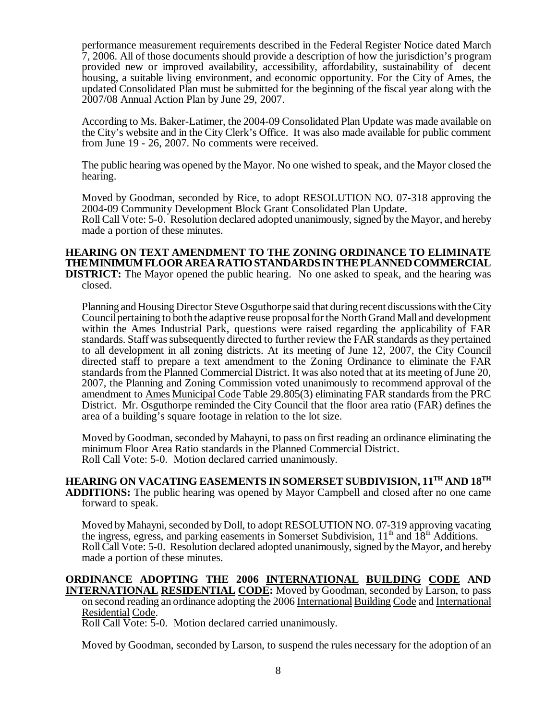performance measurement requirements described in the Federal Register Notice dated March 7, 2006. All of those documents should provide a description of how the jurisdiction's program provided new or improved availability, accessibility, affordability, sustainability of decent housing, a suitable living environment, and economic opportunity. For the City of Ames, the updated Consolidated Plan must be submitted for the beginning of the fiscal year along with the 2007/08 Annual Action Plan by June 29, 2007.

According to Ms. Baker-Latimer, the 2004-09 Consolidated Plan Update was made available on the City's website and in the City Clerk's Office. It was also made available for public comment from June 19 - 26, 2007. No comments were received.

The public hearing was opened by the Mayor. No one wished to speak, and the Mayor closed the hearing.

Moved by Goodman, seconded by Rice, to adopt RESOLUTION NO. 07-318 approving the 2004-09 Community Development Block Grant Consolidated Plan Update. Roll Call Vote: 5-0. Resolution declared adopted unanimously, signed by the Mayor, and hereby made a portion of these minutes.

### **HEARING ON TEXT AMENDMENT TO THE ZONING ORDINANCE TO ELIMINATE THE MINIMUM FLOOR AREA RATIO STANDARDS IN THE PLANNED COMMERCIAL DISTRICT:** The Mayor opened the public hearing. No one asked to speak, and the hearing was closed.

Planning and Housing Director Steve Osguthorpe said that during recent discussions with the City Council pertaining to both the adaptive reuse proposal for the North Grand Mall and development within the Ames Industrial Park, questions were raised regarding the applicability of FAR standards. Staff was subsequently directed to further review the FAR standards as they pertained to all development in all zoning districts. At its meeting of June 12, 2007, the City Council directed staff to prepare a text amendment to the Zoning Ordinance to eliminate the FAR standards from the Planned Commercial District. It was also noted that at its meeting of June 20, 2007, the Planning and Zoning Commission voted unanimously to recommend approval of the amendment to Ames Municipal Code Table 29.805(3) eliminating FAR standards from the PRC District. Mr. Osguthorpe reminded the City Council that the floor area ratio (FAR) defines the area of a building's square footage in relation to the lot size.

Moved by Goodman, seconded by Mahayni, to pass on first reading an ordinance eliminating the minimum Floor Area Ratio standards in the Planned Commercial District. Roll Call Vote: 5-0. Motion declared carried unanimously.

**HEARING ON VACATING EASEMENTS IN SOMERSET SUBDIVISION, 11TH AND 18TH ADDITIONS:** The public hearing was opened by Mayor Campbell and closed after no one came forward to speak.

Moved by Mahayni, seconded by Doll, to adopt RESOLUTION NO. 07-319 approving vacating the ingress, egress, and parking easements in Somerset Subdivision,  $11<sup>th</sup>$  and  $18<sup>th</sup>$  Additions. Roll Call Vote: 5-0. Resolution declared adopted unanimously, signed by the Mayor, and hereby made a portion of these minutes.

## **ORDINANCE ADOPTING THE 2006 INTERNATIONAL BUILDING CODE AND INTERNATIONAL RESIDENTIAL CODE:** Moved by Goodman, seconded by Larson, to pass on second reading an ordinance adopting the 2006 International Building Code and International Residential Code.

Roll Call Vote: 5-0. Motion declared carried unanimously.

Moved by Goodman, seconded by Larson, to suspend the rules necessary for the adoption of an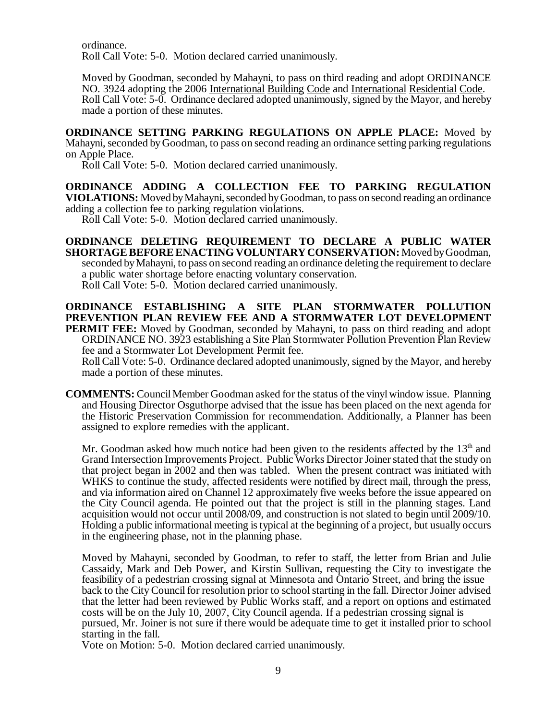ordinance. Roll Call Vote: 5-0. Motion declared carried unanimously.

Moved by Goodman, seconded by Mahayni, to pass on third reading and adopt ORDINANCE NO. 3924 adopting the 2006 International Building Code and International Residential Code. Roll Call Vote: 5-0. Ordinance declared adopted unanimously, signed by the Mayor, and hereby made a portion of these minutes.

**ORDINANCE SETTING PARKING REGULATIONS ON APPLE PLACE:** Moved by Mahayni, seconded by Goodman, to pass on second reading an ordinance setting parking regulations on Apple Place.

Roll Call Vote: 5-0. Motion declared carried unanimously.

**ORDINANCE ADDING A COLLECTION FEE TO PARKING REGULATION VIOLATIONS:** Moved by Mahayni, seconded by Goodman, to pass on second reading an ordinance adding a collection fee to parking regulation violations.

Roll Call Vote: 5-0. Motion declared carried unanimously.

**ORDINANCE DELETING REQUIREMENT TO DECLARE A PUBLIC WATER SHORTAGE BEFORE ENACTING VOLUNTARY CONSERVATION:** Moved by Goodman, seconded by Mahayni, to pass on second reading an ordinance deleting the requirement to declare a public water shortage before enacting voluntary conservation. Roll Call Vote: 5-0. Motion declared carried unanimously.

**ORDINANCE ESTABLISHING A SITE PLAN STORMWATER POLLUTION PREVENTION PLAN REVIEW FEE AND A STORMWATER LOT DEVELOPMENT PERMIT FEE:** Moved by Goodman, seconded by Mahayni, to pass on third reading and adopt ORDINANCE NO. 3923 establishing a Site Plan Stormwater Pollution Prevention Plan Review fee and a Stormwater Lot Development Permit fee.

Roll Call Vote: 5-0. Ordinance declared adopted unanimously, signed by the Mayor, and hereby made a portion of these minutes.

**COMMENTS:** Council Member Goodman asked for the status of the vinyl window issue. Planning and Housing Director Osguthorpe advised that the issue has been placed on the next agenda for the Historic Preservation Commission for recommendation. Additionally, a Planner has been assigned to explore remedies with the applicant.

Mr. Goodman asked how much notice had been given to the residents affected by the  $13<sup>th</sup>$  and Grand Intersection Improvements Project. Public Works Director Joiner stated that the study on that project began in 2002 and then was tabled. When the present contract was initiated with WHKS to continue the study, affected residents were notified by direct mail, through the press, and via information aired on Channel 12 approximately five weeks before the issue appeared on the City Council agenda. He pointed out that the project is still in the planning stages. Land acquisition would not occur until 2008/09, and construction is not slated to begin until 2009/10. Holding a public informational meeting is typical at the beginning of a project, but usually occurs in the engineering phase, not in the planning phase.

Moved by Mahayni, seconded by Goodman, to refer to staff, the letter from Brian and Julie Cassaidy, Mark and Deb Power, and Kirstin Sullivan, requesting the City to investigate the feasibility of a pedestrian crossing signal at Minnesota and Ontario Street, and bring the issue back to the City Council for resolution prior to school starting in the fall. Director Joiner advised that the letter had been reviewed by Public Works staff, and a report on options and estimated costs will be on the July 10, 2007, City Council agenda. If a pedestrian crossing signal is pursued, Mr. Joiner is not sure if there would be adequate time to get it installed prior to school starting in the fall.

Vote on Motion: 5-0. Motion declared carried unanimously.